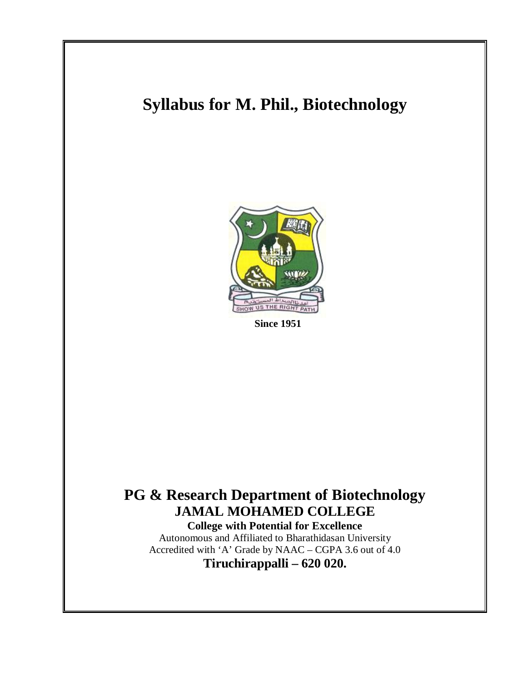# **Syllabus for M. Phil., Biotechnology**



 **Since 1951** 

# **PG & Research Department of Biotechnology JAMAL MOHAMED COLLEGE**

**College with Potential for Excellence**  Autonomous and Affiliated to Bharathidasan University Accredited with 'A' Grade by NAAC – CGPA 3.6 out of 4.0 **Tiruchirappalli – 620 020.**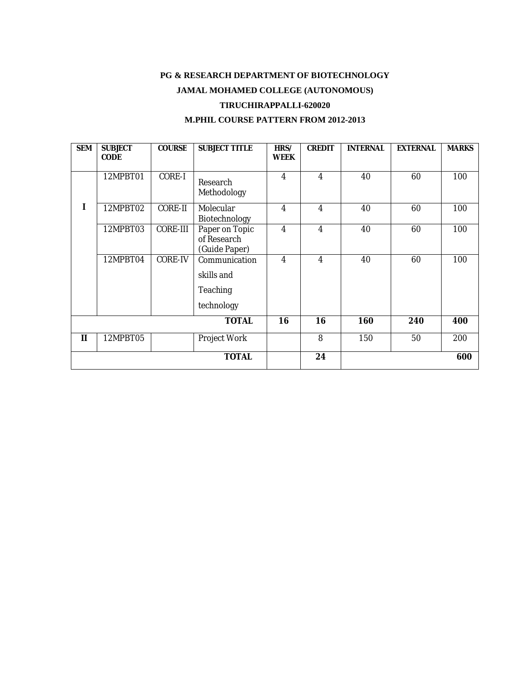### **PG & RESEARCH DEPARTMENT OF BIOTECHNOLOGY JAMAL MOHAMED COLLEGE (AUTONOMOUS)**

#### **TIRUCHIRAPPALLI-620020**

#### **M.PHIL COURSE PATTERN FROM 2012-2013**

| <b>SEM</b>   | <b>SUBJECT</b><br><b>CODE</b> | <b>COURSE</b>   | <b>SUBJECT TITLE</b>                                         | HRS/<br><b>WEEK</b> | <b>CREDIT</b>    | <b>INTERNAL</b> | <b>EXTERNAL</b> | <b>MARKS</b> |
|--------------|-------------------------------|-----------------|--------------------------------------------------------------|---------------------|------------------|-----------------|-----------------|--------------|
|              | 12MPBT01                      | <b>CORE-I</b>   | Research<br>Methodology                                      | $\boldsymbol{4}$    | $\boldsymbol{4}$ | 40              | 60              | 100          |
| I            | 12MPBT02                      | <b>CORE-II</b>  | <b>Molecular</b><br><b>Biotechnology</b>                     | 4                   | 4                | 40              | 60              | 100          |
|              | 12MPBT03                      | <b>CORE-III</b> | Paper on Topic<br>of Research<br>(Guide Paper)               | 4                   | 4                | 40              | 60              | 100          |
|              | 12MPBT04                      | <b>CORE-IV</b>  | Communication<br>skills and<br><b>Teaching</b><br>technology | 4                   | $\boldsymbol{4}$ | 40              | 60              | 100          |
|              |                               |                 | <b>TOTAL</b>                                                 | 16                  | 16               | 160             | 240             | 400          |
| $\mathbf{I}$ | 12MPBT05                      |                 | <b>Project Work</b>                                          |                     | 8                | <b>150</b>      | 50              | 200          |
| <b>TOTAL</b> |                               |                 |                                                              |                     | 24               |                 |                 | 600          |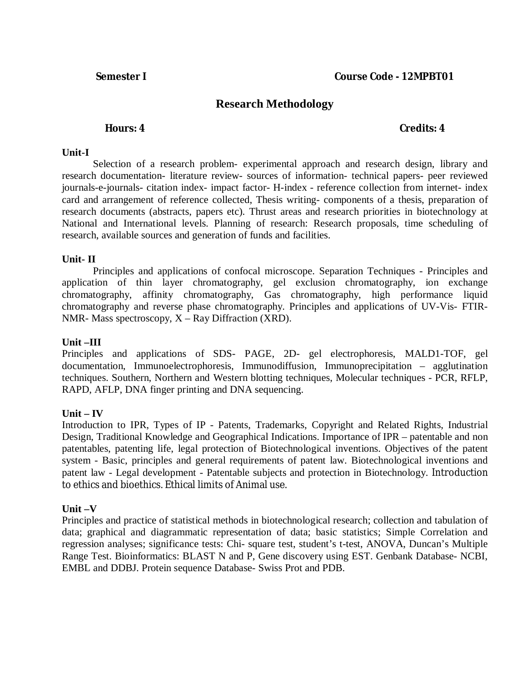## **Research Methodology**

#### **Hours: 4 Credits: 4**

#### **Unit-I**

Selection of a research problem- experimental approach and research design, library and research documentation- literature review- sources of information- technical papers- peer reviewed journals-e-journals- citation index- impact factor- H-index - reference collection from internet- index card and arrangement of reference collected, Thesis writing- components of a thesis, preparation of research documents (abstracts, papers etc). Thrust areas and research priorities in biotechnology at National and International levels. Planning of research: Research proposals, time scheduling of research, available sources and generation of funds and facilities.

#### **Unit- II**

Principles and applications of confocal microscope. Separation Techniques - Principles and application of thin layer chromatography, gel exclusion chromatography, ion exchange chromatography, affinity chromatography, Gas chromatography, high performance liquid chromatography and reverse phase chromatography. Principles and applications of UV-Vis- FTIR-NMR- Mass spectroscopy,  $X - Ray$  Diffraction (XRD).

#### **Unit –III**

Principles and applications of SDS- PAGE, 2D- gel electrophoresis, MALD1-TOF, gel documentation, Immunoelectrophoresis, Immunodiffusion, Immunoprecipitation – agglutination techniques. Southern, Northern and Western blotting techniques, Molecular techniques - PCR, RFLP, RAPD, AFLP, DNA finger printing and DNA sequencing.

### $\mathbf{Unit} - \mathbf{IV}$

Introduction to IPR, Types of IP - Patents, Trademarks, Copyright and Related Rights, Industrial Design, Traditional Knowledge and Geographical Indications. Importance of IPR – patentable and non patentables, patenting life, legal protection of Biotechnological inventions. Objectives of the patent system - Basic, principles and general requirements of patent law. Biotechnological inventions and patent law - Legal development - Patentable subjects and protection in Biotechnology. Introduction to ethics and bioethics. Ethical limits of Animal use.

### **Unit –V**

Principles and practice of statistical methods in biotechnological research; collection and tabulation of data; graphical and diagrammatic representation of data; basic statistics; Simple Correlation and regression analyses; significance tests: Chi- square test, student's t-test, ANOVA, Duncan's Multiple Range Test. Bioinformatics: BLAST N and P, Gene discovery using EST. Genbank Database- NCBI, EMBL and DDBJ. Protein sequence Database- Swiss Prot and PDB.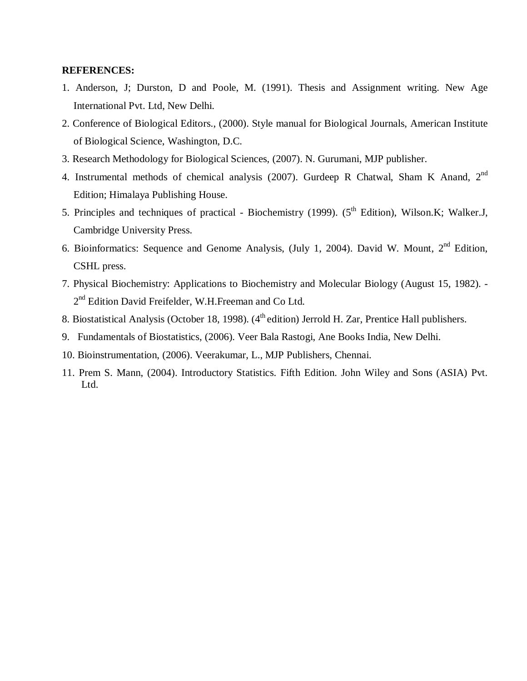#### **REFERENCES:**

- 1. Anderson, J; Durston, D and Poole, M. (1991). Thesis and Assignment writing. New Age International Pvt. Ltd, New Delhi.
- 2. Conference of Biological Editors., (2000). Style manual for Biological Journals, American Institute of Biological Science, Washington, D.C.
- 3. Research Methodology for Biological Sciences, (2007). N. Gurumani, MJP publisher.
- 4. Instrumental methods of chemical analysis (2007). Gurdeep R Chatwal, Sham K Anand, 2nd Edition; Himalaya Publishing House.
- 5. Principles and techniques of practical Biochemistry (1999). (5<sup>th</sup> Edition), Wilson.K; Walker.J, Cambridge University Press.
- 6. Bioinformatics: Sequence and Genome Analysis, (July 1, 2004). David W. Mount,  $2<sup>nd</sup>$  Edition, CSHL press.
- 7. Physical Biochemistry: Applications to Biochemistry and Molecular Biology (August 15, 1982). 2<sup>nd</sup> Edition David Freifelder, W.H.Freeman and Co Ltd.
- 8. Biostatistical Analysis (October 18, 1998). (4<sup>th</sup> edition) Jerrold H. Zar, Prentice Hall publishers.
- 9. Fundamentals of Biostatistics, (2006). Veer Bala Rastogi, Ane Books India, New Delhi.
- 10. Bioinstrumentation, (2006). Veerakumar, L., MJP Publishers, Chennai.
- 11. Prem S. Mann, (2004). Introductory Statistics. Fifth Edition. John Wiley and Sons (ASIA) Pvt. Ltd.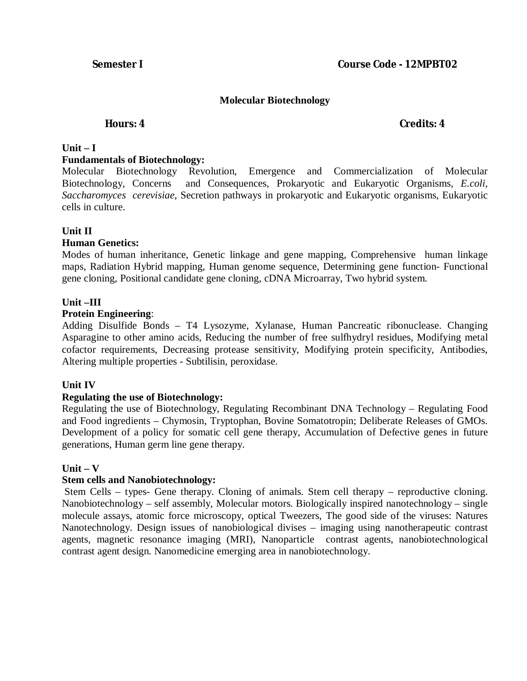#### **Molecular Biotechnology**

#### **Hours: 4 Credits: 4**

#### $Unit - I$

#### **Fundamentals of Biotechnology:**

Molecular Biotechnology Revolution, Emergence and Commercialization of Molecular Biotechnology, Concerns and Consequences, Prokaryotic and Eukaryotic Organisms, *E.coli, Saccharomyces cerevisiae*, Secretion pathways in prokaryotic and Eukaryotic organisms, Eukaryotic cells in culture.

### **Unit II**

#### **Human Genetics:**

Modes of human inheritance, Genetic linkage and gene mapping, Comprehensive human linkage maps, Radiation Hybrid mapping, Human genome sequence, Determining gene function- Functional gene cloning, Positional candidate gene cloning, cDNA Microarray, Two hybrid system.

#### **Unit –III**

#### **Protein Engineering**:

Adding Disulfide Bonds – T4 Lysozyme, Xylanase, Human Pancreatic ribonuclease. Changing Asparagine to other amino acids, Reducing the number of free sulfhydryl residues, Modifying metal cofactor requirements, Decreasing protease sensitivity, Modifying protein specificity, Antibodies, Altering multiple properties - Subtilisin, peroxidase.

#### **Unit IV**

#### **Regulating the use of Biotechnology:**

Regulating the use of Biotechnology, Regulating Recombinant DNA Technology – Regulating Food and Food ingredients – Chymosin, Tryptophan, Bovine Somatotropin; Deliberate Releases of GMOs. Development of a policy for somatic cell gene therapy, Accumulation of Defective genes in future generations, Human germ line gene therapy.

### **Unit – V**

### **Stem cells and Nanobiotechnology:**

Stem Cells – types- Gene therapy. Cloning of animals. Stem cell therapy – reproductive cloning. Nanobiotechnology – self assembly, Molecular motors. Biologically inspired nanotechnology – single molecule assays, atomic force microscopy, optical Tweezers, The good side of the viruses: Natures Nanotechnology. Design issues of nanobiological divises – imaging using nanotherapeutic contrast agents, magnetic resonance imaging (MRI), Nanoparticle contrast agents, nanobiotechnological contrast agent design. Nanomedicine emerging area in nanobiotechnology.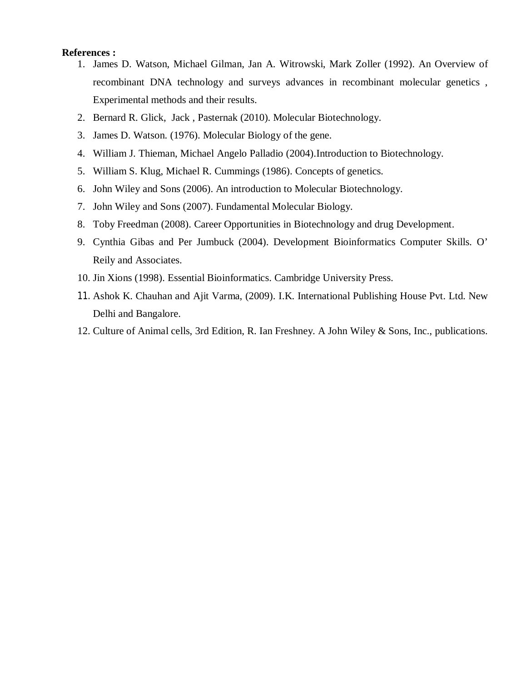#### **References :**

- 1. James D. Watson, Michael Gilman, Jan A. Witrowski, Mark Zoller (1992). An Overview of recombinant DNA technology and surveys advances in recombinant molecular genetics , Experimental methods and their results.
- 2. Bernard R. Glick, Jack , Pasternak (2010). Molecular Biotechnology.
- 3. James D. Watson. (1976). Molecular Biology of the gene.
- 4. William J. Thieman, Michael Angelo Palladio (2004).Introduction to Biotechnology.
- 5. William S. Klug, Michael R. Cummings (1986). Concepts of genetics.
- 6. John Wiley and Sons (2006). An introduction to Molecular Biotechnology.
- 7. John Wiley and Sons (2007). Fundamental Molecular Biology.
- 8. Toby Freedman (2008). Career Opportunities in Biotechnology and drug Development.
- 9. Cynthia Gibas and Per Jumbuck (2004). Development Bioinformatics Computer Skills. O' Reily and Associates.
- 10. Jin Xions (1998). Essential Bioinformatics. Cambridge University Press.
- 11. Ashok K. Chauhan and Ajit Varma, (2009). I.K. International Publishing House Pvt. Ltd. New Delhi and Bangalore.
- 12. Culture of Animal cells, 3rd Edition, R. Ian Freshney. A John Wiley & Sons, Inc., publications.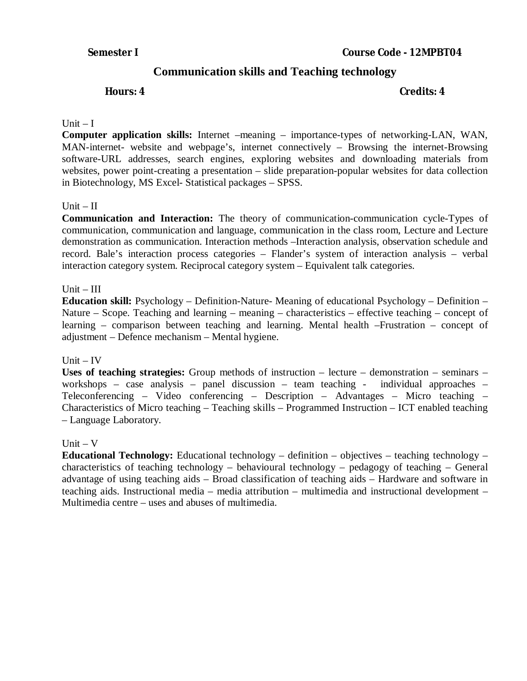## **Communication skills and Teaching technology**

#### **Hours: 4** Credits: 4

#### Unit  $-I$

**Computer application skills:** Internet –meaning – importance-types of networking-LAN, WAN, MAN-internet- website and webpage's, internet connectively – Browsing the internet-Browsing software-URL addresses, search engines, exploring websites and downloading materials from websites, power point-creating a presentation – slide preparation-popular websites for data collection in Biotechnology, MS Excel- Statistical packages – SPSS.

#### $Unit - II$

**Communication and Interaction:** The theory of communication-communication cycle-Types of communication, communication and language, communication in the class room, Lecture and Lecture demonstration as communication. Interaction methods –Interaction analysis, observation schedule and record. Bale's interaction process categories – Flander's system of interaction analysis – verbal interaction category system. Reciprocal category system – Equivalent talk categories.

#### $Unit - III$

**Education skill:** Psychology – Definition-Nature- Meaning of educational Psychology – Definition – Nature – Scope. Teaching and learning – meaning – characteristics – effective teaching – concept of learning – comparison between teaching and learning. Mental health –Frustration – concept of adjustment – Defence mechanism – Mental hygiene.

#### Unit  $-$  IV

**Uses of teaching strategies:** Group methods of instruction – lecture – demonstration – seminars – workshops – case analysis – panel discussion – team teaching - individual approaches – Teleconferencing – Video conferencing – Description – Advantages – Micro teaching – Characteristics of Micro teaching – Teaching skills – Programmed Instruction – ICT enabled teaching – Language Laboratory.

#### $Unit - V$

**Educational Technology:** Educational technology – definition – objectives – teaching technology – characteristics of teaching technology – behavioural technology – pedagogy of teaching – General advantage of using teaching aids – Broad classification of teaching aids – Hardware and software in teaching aids. Instructional media – media attribution – multimedia and instructional development – Multimedia centre – uses and abuses of multimedia.